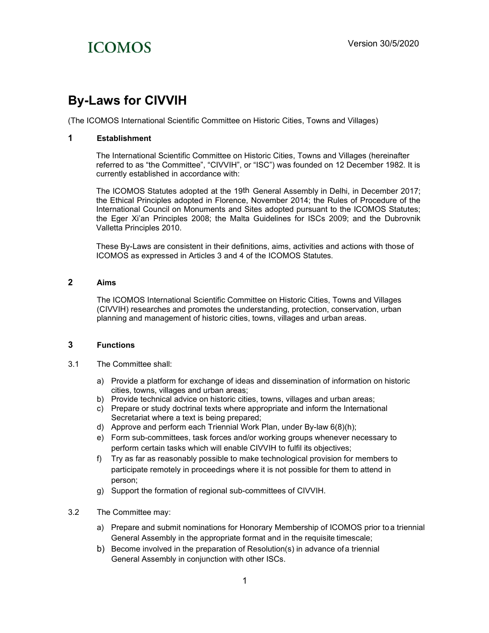### By-Laws for CIVVIH

(The ICOMOS International Scientific Committee on Historic Cities, Towns and Villages)

### 1 Establishment

The International Scientific Committee on Historic Cities, Towns and Villages (hereinafter referred to as "the Committee", "CIVVIH", or "ISC") was founded on 12 December 1982. It is currently established in accordance with:

The ICOMOS Statutes adopted at the 19th General Assembly in Delhi, in December 2017; the Ethical Principles adopted in Florence, November 2014; the Rules of Procedure of the International Council on Monuments and Sites adopted pursuant to the ICOMOS Statutes; the Eger Xi'an Principles 2008; the Malta Guidelines for ISCs 2009; and the Dubrovnik Valletta Principles 2010.

These By-Laws are consistent in their definitions, aims, activities and actions with those of ICOMOS as expressed in Articles 3 and 4 of the ICOMOS Statutes.

### 2 Aims

The ICOMOS International Scientific Committee on Historic Cities, Towns and Villages (CIVVIH) researches and promotes the understanding, protection, conservation, urban planning and management of historic cities, towns, villages and urban areas.

### 3 Functions

- 3.1 The Committee shall:
	- a) Provide a platform for exchange of ideas and dissemination of information on historic cities, towns, villages and urban areas;
	- b) Provide technical advice on historic cities, towns, villages and urban areas;
	- c) Prepare or study doctrinal texts where appropriate and inform the International Secretariat where a text is being prepared;
	- d) Approve and perform each Triennial Work Plan, under By-law 6(8)(h);
	- e) Form sub-committees, task forces and/or working groups whenever necessary to perform certain tasks which will enable CIVVIH to fulfil its objectives;
	- f) Try as far as reasonably possible to make technological provision for members to participate remotely in proceedings where it is not possible for them to attend in person;
	- g) Support the formation of regional sub-committees of CIVVIH.
- 3.2 The Committee may:
	- a) Prepare and submit nominations for Honorary Membership of ICOMOS prior toa triennial General Assembly in the appropriate format and in the requisite timescale;
	- b) Become involved in the preparation of Resolution(s) in advance of a triennial General Assembly in conjunction with other ISCs.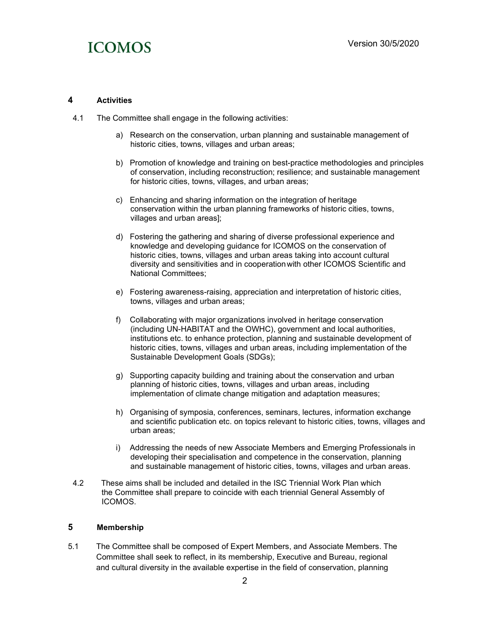

#### 4 Activities

- 4.1 The Committee shall engage in the following activities:
	- a) Research on the conservation, urban planning and sustainable management of historic cities, towns, villages and urban areas;
	- b) Promotion of knowledge and training on best-practice methodologies and principles of conservation, including reconstruction; resilience; and sustainable management for historic cities, towns, villages, and urban areas;
	- c) Enhancing and sharing information on the integration of heritage conservation within the urban planning frameworks of historic cities, towns, villages and urban areas];
	- d) Fostering the gathering and sharing of diverse professional experience and knowledge and developing guidance for ICOMOS on the conservation of historic cities, towns, villages and urban areas taking into account cultural diversity and sensitivities and in cooperationwith other ICOMOS Scientific and National Committees;
	- e) Fostering awareness-raising, appreciation and interpretation of historic cities, towns, villages and urban areas;
	- f) Collaborating with major organizations involved in heritage conservation (including UN-HABITAT and the OWHC), government and local authorities, institutions etc. to enhance protection, planning and sustainable development of historic cities, towns, villages and urban areas, including implementation of the Sustainable Development Goals (SDGs);
	- g) Supporting capacity building and training about the conservation and urban planning of historic cities, towns, villages and urban areas, including implementation of climate change mitigation and adaptation measures;
	- h) Organising of symposia, conferences, seminars, lectures, information exchange and scientific publication etc. on topics relevant to historic cities, towns, villages and urban areas;
	- i) Addressing the needs of new Associate Members and Emerging Professionals in developing their specialisation and competence in the conservation, planning and sustainable management of historic cities, towns, villages and urban areas.
- 4.2 These aims shall be included and detailed in the ISC Triennial Work Plan which the Committee shall prepare to coincide with each triennial General Assembly of ICOMOS.

### 5 Membership

5.1 The Committee shall be composed of Expert Members, and Associate Members. The Committee shall seek to reflect, in its membership, Executive and Bureau, regional and cultural diversity in the available expertise in the field of conservation, planning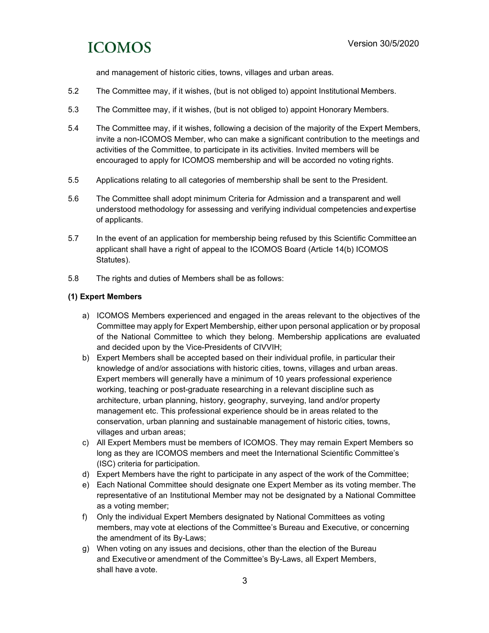and management of historic cities, towns, villages and urban areas.

- 5.2 The Committee may, if it wishes, (but is not obliged to) appoint Institutional Members.
- 5.3 The Committee may, if it wishes, (but is not obliged to) appoint Honorary Members.
- 5.4 The Committee may, if it wishes, following a decision of the majority of the Expert Members, invite a non-ICOMOS Member, who can make a significant contribution to the meetings and activities of the Committee, to participate in its activities. Invited members will be encouraged to apply for ICOMOS membership and will be accorded no voting rights.
- 5.5 Applications relating to all categories of membership shall be sent to the President.
- 5.6 The Committee shall adopt minimum Criteria for Admission and a transparent and well understood methodology for assessing and verifying individual competencies andexpertise of applicants.
- 5.7 In the event of an application for membership being refused by this Scientific Committee an applicant shall have a right of appeal to the ICOMOS Board (Article 14(b) ICOMOS Statutes).
- 5.8 The rights and duties of Members shall be as follows:

### (1) Expert Members

- a) ICOMOS Members experienced and engaged in the areas relevant to the objectives of the Committee may apply for Expert Membership, either upon personal application or by proposal of the National Committee to which they belong. Membership applications are evaluated and decided upon by the Vice-Presidents of CIVVIH;
- b) Expert Members shall be accepted based on their individual profile, in particular their knowledge of and/or associations with historic cities, towns, villages and urban areas. Expert members will generally have a minimum of 10 years professional experience working, teaching or post-graduate researching in a relevant discipline such as architecture, urban planning, history, geography, surveying, land and/or property management etc. This professional experience should be in areas related to the conservation, urban planning and sustainable management of historic cities, towns, villages and urban areas;
- c) All Expert Members must be members of ICOMOS. They may remain Expert Members so long as they are ICOMOS members and meet the International Scientific Committee's (ISC) criteria for participation.
- d) Expert Members have the right to participate in any aspect of the work of the Committee;
- e) Each National Committee should designate one Expert Member as its voting member. The representative of an Institutional Member may not be designated by a National Committee as a voting member;
- f) Only the individual Expert Members designated by National Committees as voting members, may vote at elections of the Committee's Bureau and Executive, or concerning the amendment of its By-Laws;
- g) When voting on any issues and decisions, other than the election of the Bureau and Executive or amendment of the Committee's By-Laws, all Expert Members, shall have a vote.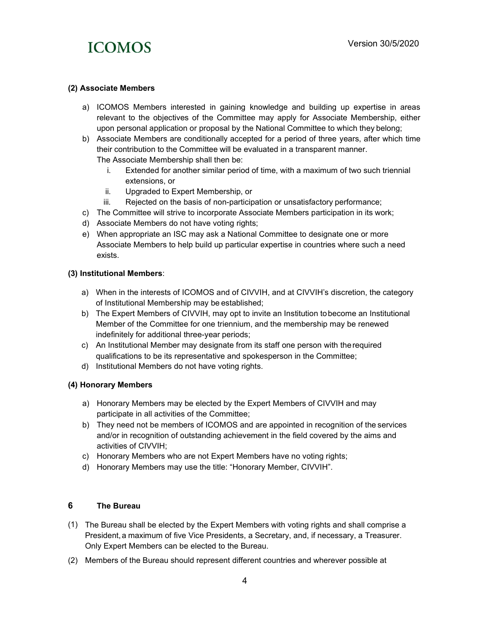

### (2) Associate Members

- a) ICOMOS Members interested in gaining knowledge and building up expertise in areas relevant to the objectives of the Committee may apply for Associate Membership, either upon personal application or proposal by the National Committee to which they belong;
- b) Associate Members are conditionally accepted for a period of three years, after which time their contribution to the Committee will be evaluated in a transparent manner. The Associate Membership shall then be:
	- i. Extended for another similar period of time, with a maximum of two such triennial extensions, or
	- ii. Upgraded to Expert Membership, or
	- iii. Rejected on the basis of non-participation or unsatisfactory performance;
- c) The Committee will strive to incorporate Associate Members participation in its work;
- d) Associate Members do not have voting rights;
- e) When appropriate an ISC may ask a National Committee to designate one or more Associate Members to help build up particular expertise in countries where such a need exists.

### (3) Institutional Members:

- a) When in the interests of ICOMOS and of CIVVIH, and at CIVVIH's discretion, the category of Institutional Membership may be established;
- b) The Expert Members of CIVVIH, may opt to invite an Institution tobecome an Institutional Member of the Committee for one triennium, and the membership may be renewed indefinitely for additional three-year periods;
- c) An Institutional Member may designate from its staff one person with therequired qualifications to be its representative and spokesperson in the Committee;
- d) Institutional Members do not have voting rights.

### (4) Honorary Members

- a) Honorary Members may be elected by the Expert Members of CIVVIH and may participate in all activities of the Committee;
- b) They need not be members of ICOMOS and are appointed in recognition of the services and/or in recognition of outstanding achievement in the field covered by the aims and activities of CIVVIH;
- c) Honorary Members who are not Expert Members have no voting rights;
- d) Honorary Members may use the title: "Honorary Member, CIVVIH".

### 6 The Bureau

- (1) The Bureau shall be elected by the Expert Members with voting rights and shall comprise a President, a maximum of five Vice Presidents, a Secretary, and, if necessary, a Treasurer. Only Expert Members can be elected to the Bureau.
- (2) Members of the Bureau should represent different countries and wherever possible at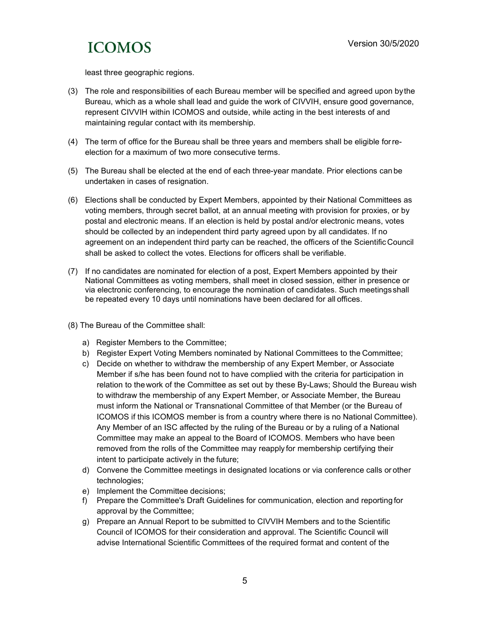least three geographic regions.

- (3) The role and responsibilities of each Bureau member will be specified and agreed upon bythe Bureau, which as a whole shall lead and guide the work of CIVVIH, ensure good governance, represent CIVVIH within ICOMOS and outside, while acting in the best interests of and maintaining regular contact with its membership.
- (4) The term of office for the Bureau shall be three years and members shall be eligible forreelection for a maximum of two more consecutive terms.
- (5) The Bureau shall be elected at the end of each three-year mandate. Prior elections can be undertaken in cases of resignation.
- (6) Elections shall be conducted by Expert Members, appointed by their National Committees as voting members, through secret ballot, at an annual meeting with provision for proxies, or by postal and electronic means. If an election is held by postal and/or electronic means, votes should be collected by an independent third party agreed upon by all candidates. If no agreement on an independent third party can be reached, the officers of the Scientific Council shall be asked to collect the votes. Elections for officers shall be verifiable.
- (7) If no candidates are nominated for election of a post, Expert Members appointed by their National Committees as voting members, shall meet in closed session, either in presence or via electronic conferencing, to encourage the nomination of candidates. Such meetingsshall be repeated every 10 days until nominations have been declared for all offices.
- (8) The Bureau of the Committee shall:
	- a) Register Members to the Committee;
	- b) Register Expert Voting Members nominated by National Committees to the Committee;
	- c) Decide on whether to withdraw the membership of any Expert Member, or Associate Member if s/he has been found not to have complied with the criteria for participation in relation to the work of the Committee as set out by these By-Laws; Should the Bureau wish to withdraw the membership of any Expert Member, or Associate Member, the Bureau must inform the National or Transnational Committee of that Member (or the Bureau of ICOMOS if this ICOMOS member is from a country where there is no National Committee). Any Member of an ISC affected by the ruling of the Bureau or by a ruling of a National Committee may make an appeal to the Board of ICOMOS. Members who have been removed from the rolls of the Committee may reapply for membership certifying their intent to participate actively in the future;
	- d) Convene the Committee meetings in designated locations or via conference calls or other technologies;
	- e) Implement the Committee decisions;
	- f) Prepare the Committee's Draft Guidelines for communication, election and reporting for approval by the Committee;
	- g) Prepare an Annual Report to be submitted to CIVVIH Members and to the Scientific Council of ICOMOS for their consideration and approval. The Scientific Council will advise International Scientific Committees of the required format and content of the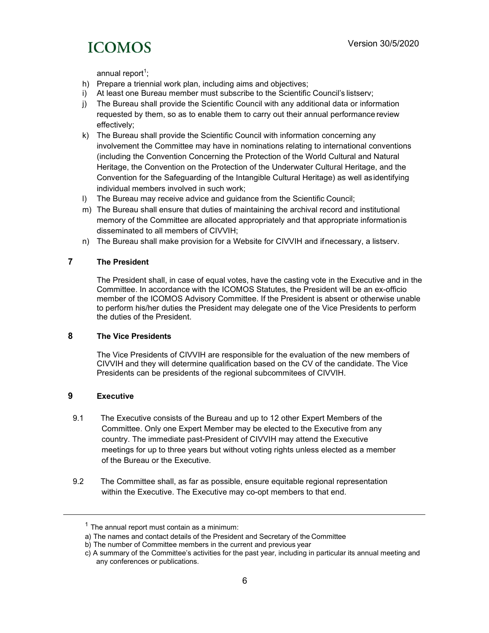annual report $1$ ;

- h) Prepare a triennial work plan, including aims and objectives;
- i) At least one Bureau member must subscribe to the Scientific Council's listserv;
- j) The Bureau shall provide the Scientific Council with any additional data or information requested by them, so as to enable them to carry out their annual performance review effectively;
- k) The Bureau shall provide the Scientific Council with information concerning any involvement the Committee may have in nominations relating to international conventions (including the Convention Concerning the Protection of the World Cultural and Natural Heritage, the Convention on the Protection of the Underwater Cultural Heritage, and the Convention for the Safeguarding of the Intangible Cultural Heritage) as well asidentifying individual members involved in such work;
- l) The Bureau may receive advice and guidance from the Scientific Council;
- m) The Bureau shall ensure that duties of maintaining the archival record and institutional memory of the Committee are allocated appropriately and that appropriate informationis disseminated to all members of CIVVIH;
- n) The Bureau shall make provision for a Website for CIVVIH and ifnecessary, a listserv.

### 7 The President

The President shall, in case of equal votes, have the casting vote in the Executive and in the Committee. In accordance with the ICOMOS Statutes, the President will be an ex-officio member of the ICOMOS Advisory Committee. If the President is absent or otherwise unable to perform his/her duties the President may delegate one of the Vice Presidents to perform the duties of the President.

### 8 The Vice Presidents

The Vice Presidents of CIVVIH are responsible for the evaluation of the new members of CIVVIH and they will determine qualification based on the CV of the candidate. The Vice Presidents can be presidents of the regional subcommitees of CIVVIH.

### 9 Executive

- 9.1 The Executive consists of the Bureau and up to 12 other Expert Members of the Committee. Only one Expert Member may be elected to the Executive from any country. The immediate past-President of CIVVIH may attend the Executive meetings for up to three years but without voting rights unless elected as a member of the Bureau or the Executive.
- 9.2 The Committee shall, as far as possible, ensure equitable regional representation within the Executive. The Executive may co-opt members to that end.

 $1$  The annual report must contain as a minimum:

a) The names and contact details of the President and Secretary of the Committee

b) The number of Committee members in the current and previous year

c) A summary of the Committee's activities for the past year, including in particular its annual meeting and any conferences or publications.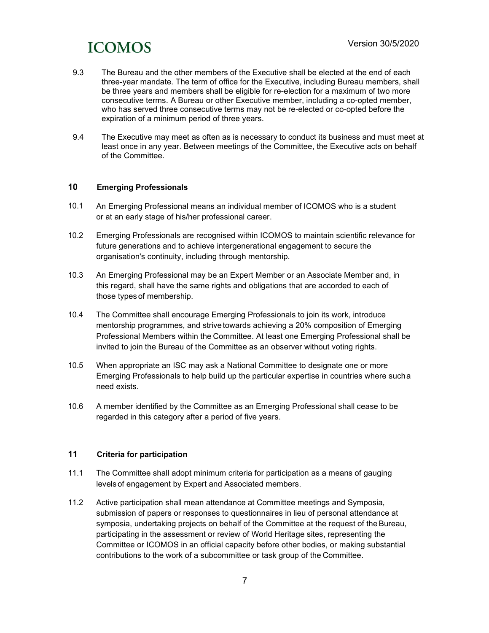- 9.3 The Bureau and the other members of the Executive shall be elected at the end of each three-year mandate. The term of office for the Executive, including Bureau members, shall be three years and members shall be eligible for re-election for a maximum of two more consecutive terms. A Bureau or other Executive member, including a co-opted member, who has served three consecutive terms may not be re-elected or co-opted before the expiration of a minimum period of three years.
- 9.4 The Executive may meet as often as is necessary to conduct its business and must meet at least once in any year. Between meetings of the Committee, the Executive acts on behalf of the Committee.

### 10 Emerging Professionals

- 10.1 An Emerging Professional means an individual member of ICOMOS who is a student or at an early stage of his/her professional career.
- 10.2 Emerging Professionals are recognised within ICOMOS to maintain scientific relevance for future generations and to achieve intergenerational engagement to secure the organisation's continuity, including through mentorship.
- 10.3 An Emerging Professional may be an Expert Member or an Associate Member and, in this regard, shall have the same rights and obligations that are accorded to each of those types of membership.
- 10.4 The Committee shall encourage Emerging Professionals to join its work, introduce mentorship programmes, and strive towards achieving a 20% composition of Emerging Professional Members within the Committee. At least one Emerging Professional shall be invited to join the Bureau of the Committee as an observer without voting rights.
- 10.5 When appropriate an ISC may ask a National Committee to designate one or more Emerging Professionals to help build up the particular expertise in countries where such a need exists.
- 10.6 A member identified by the Committee as an Emerging Professional shall cease to be regarded in this category after a period of five years.

### 11 Criteria for participation

- 11.1 The Committee shall adopt minimum criteria for participation as a means of gauging levels of engagement by Expert and Associated members.
- 11.2 Active participation shall mean attendance at Committee meetings and Symposia, submission of papers or responses to questionnaires in lieu of personal attendance at symposia, undertaking projects on behalf of the Committee at the request of the Bureau, participating in the assessment or review of World Heritage sites, representing the Committee or ICOMOS in an official capacity before other bodies, or making substantial contributions to the work of a subcommittee or task group of the Committee.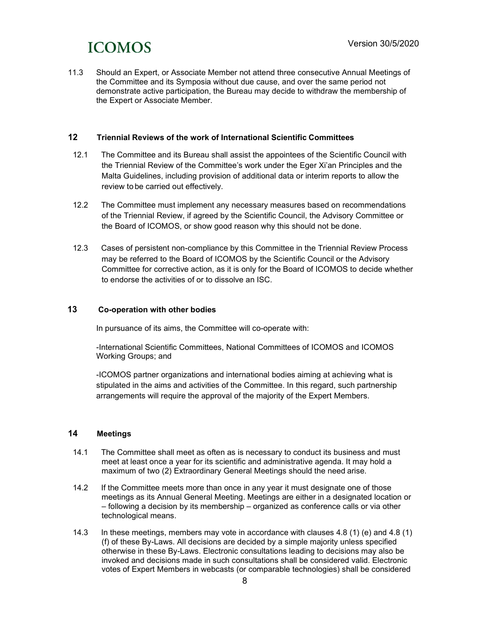11.3 Should an Expert, or Associate Member not attend three consecutive Annual Meetings of the Committee and its Symposia without due cause, and over the same period not demonstrate active participation, the Bureau may decide to withdraw the membership of the Expert or Associate Member.

### 12 Triennial Reviews of the work of International Scientific Committees

- 12.1 The Committee and its Bureau shall assist the appointees of the Scientific Council with the Triennial Review of the Committee's work under the Eger Xi'an Principles and the Malta Guidelines, including provision of additional data or interim reports to allow the review to be carried out effectively.
- 12.2 The Committee must implement any necessary measures based on recommendations of the Triennial Review, if agreed by the Scientific Council, the Advisory Committee or the Board of ICOMOS, or show good reason why this should not be done.
- 12.3 Cases of persistent non-compliance by this Committee in the Triennial Review Process may be referred to the Board of ICOMOS by the Scientific Council or the Advisory Committee for corrective action, as it is only for the Board of ICOMOS to decide whether to endorse the activities of or to dissolve an ISC.

### 13 Co-operation with other bodies

In pursuance of its aims, the Committee will co-operate with:

-International Scientific Committees, National Committees of ICOMOS and ICOMOS Working Groups; and

-ICOMOS partner organizations and international bodies aiming at achieving what is stipulated in the aims and activities of the Committee. In this regard, such partnership arrangements will require the approval of the majority of the Expert Members.

### 14 Meetings

- 14.1 The Committee shall meet as often as is necessary to conduct its business and must meet at least once a year for its scientific and administrative agenda. It may hold a maximum of two (2) Extraordinary General Meetings should the need arise.
- 14.2 If the Committee meets more than once in any year it must designate one of those meetings as its Annual General Meeting. Meetings are either in a designated location or – following a decision by its membership – organized as conference calls or via other technological means.
- 14.3 In these meetings, members may vote in accordance with clauses 4.8 (1) (e) and 4.8 (1) (f) of these By-Laws. All decisions are decided by a simple majority unless specified otherwise in these By-Laws. Electronic consultations leading to decisions may also be invoked and decisions made in such consultations shall be considered valid. Electronic votes of Expert Members in webcasts (or comparable technologies) shall be considered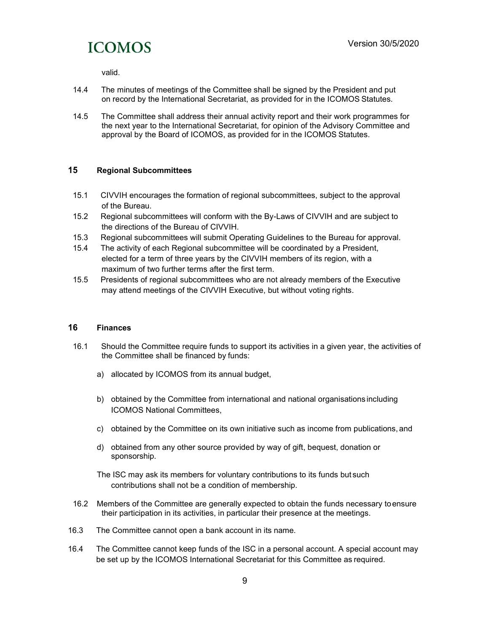valid.

- 14.4 The minutes of meetings of the Committee shall be signed by the President and put on record by the International Secretariat, as provided for in the ICOMOS Statutes.
- 14.5 The Committee shall address their annual activity report and their work programmes for the next year to the International Secretariat, for opinion of the Advisory Committee and approval by the Board of ICOMOS, as provided for in the ICOMOS Statutes.

### 15 Regional Subcommittees

- 15.1 CIVVIH encourages the formation of regional subcommittees, subject to the approval of the Bureau.
- 15.2 Regional subcommittees will conform with the By-Laws of CIVVIH and are subject to the directions of the Bureau of CIVVIH.
- 15.3 Regional subcommittees will submit Operating Guidelines to the Bureau for approval.
- 15.4 The activity of each Regional subcommittee will be coordinated by a President, elected for a term of three years by the CIVVIH members of its region, with a maximum of two further terms after the first term.
- 15.5 Presidents of regional subcommittees who are not already members of the Executive may attend meetings of the CIVVIH Executive, but without voting rights.

### 16 Finances

- 16.1 Should the Committee require funds to support its activities in a given year, the activities of the Committee shall be financed by funds:
	- a) allocated by ICOMOS from its annual budget,
	- b) obtained by the Committee from international and national organisations including ICOMOS National Committees,
	- c) obtained by the Committee on its own initiative such as income from publications, and
	- d) obtained from any other source provided by way of gift, bequest, donation or sponsorship.
	- The ISC may ask its members for voluntary contributions to its funds but such contributions shall not be a condition of membership.
- 16.2 Members of the Committee are generally expected to obtain the funds necessary toensure their participation in its activities, in particular their presence at the meetings.
- 16.3 The Committee cannot open a bank account in its name.
- 16.4 The Committee cannot keep funds of the ISC in a personal account. A special account may be set up by the ICOMOS International Secretariat for this Committee as required.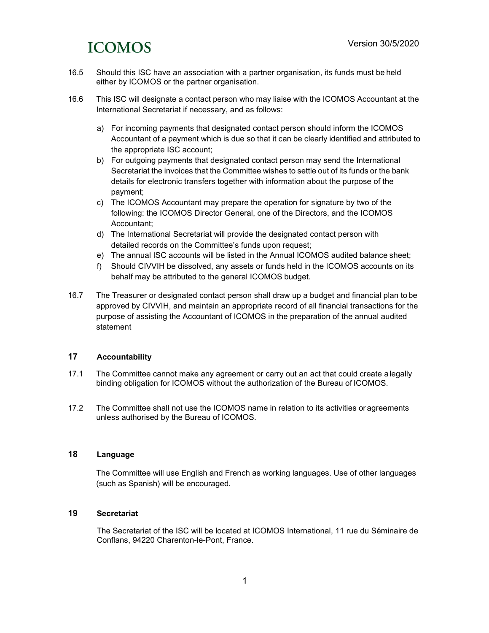- 16.5 Should this ISC have an association with a partner organisation, its funds must be held either by ICOMOS or the partner organisation.
- 16.6 This ISC will designate a contact person who may liaise with the ICOMOS Accountant at the International Secretariat if necessary, and as follows:
	- a) For incoming payments that designated contact person should inform the ICOMOS Accountant of a payment which is due so that it can be clearly identified and attributed to the appropriate ISC account;
	- b) For outgoing payments that designated contact person may send the International Secretariat the invoices that the Committee wishes to settle out of its funds or the bank details for electronic transfers together with information about the purpose of the payment;
	- c) The ICOMOS Accountant may prepare the operation for signature by two of the following: the ICOMOS Director General, one of the Directors, and the ICOMOS Accountant;
	- d) The International Secretariat will provide the designated contact person with detailed records on the Committee's funds upon request;
	- e) The annual ISC accounts will be listed in the Annual ICOMOS audited balance sheet;
	- f) Should CIVVIH be dissolved, any assets or funds held in the ICOMOS accounts on its behalf may be attributed to the general ICOMOS budget.
- 16.7 The Treasurer or designated contact person shall draw up a budget and financial plan to be approved by CIVVIH, and maintain an appropriate record of all financial transactions for the purpose of assisting the Accountant of ICOMOS in the preparation of the annual audited statement

### 17 Accountability

- 17.1 The Committee cannot make any agreement or carry out an act that could create alegally binding obligation for ICOMOS without the authorization of the Bureau of ICOMOS.
- 17.2 The Committee shall not use the ICOMOS name in relation to its activities or agreements unless authorised by the Bureau of ICOMOS.

### 18 Language

The Committee will use English and French as working languages. Use of other languages (such as Spanish) will be encouraged.

### 19 Secretariat

The Secretariat of the ISC will be located at ICOMOS International, 11 rue du Séminaire de Conflans, 94220 Charenton-le-Pont, France.